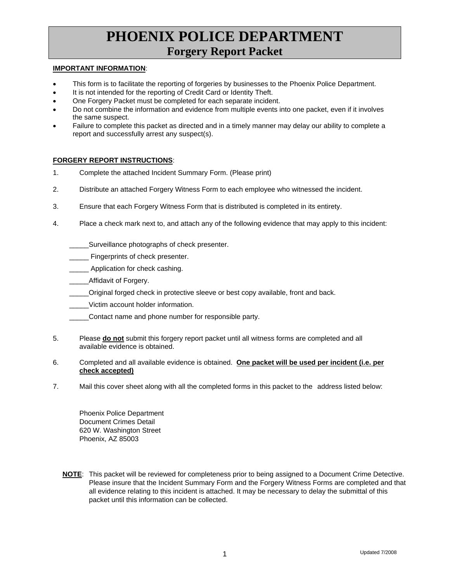#### **IMPORTANT INFORMATION**:

- This form is to facilitate the reporting of forgeries by businesses to the Phoenix Police Department.
- It is not intended for the reporting of Credit Card or Identity Theft.
- One Forgery Packet must be completed for each separate incident.
- Do not combine the information and evidence from multiple events into one packet, even if it involves the same suspect.
- Failure to complete this packet as directed and in a timely manner may delay our ability to complete a report and successfully arrest any suspect(s).

#### **FORGERY REPORT INSTRUCTIONS**:

- 1. Complete the attached Incident Summary Form. (Please print)
- 2. Distribute an attached Forgery Witness Form to each employee who witnessed the incident.
- 3. Ensure that each Forgery Witness Form that is distributed is completed in its entirety.
- 4. Place a check mark next to, and attach any of the following evidence that may apply to this incident:
	- Surveillance photographs of check presenter.
	- \_\_\_\_\_ Fingerprints of check presenter.
	- \_\_\_\_\_ Application for check cashing.
	- Affidavit of Forgery.
	- \_\_\_\_\_Original forged check in protective sleeve or best copy available, front and back.
	- \_\_\_\_\_Victim account holder information.
	- \_\_\_\_\_Contact name and phone number for responsible party.
- 5. Please **do not** submit this forgery report packet until all witness forms are completed and all available evidence is obtained.
- 6. Completed and all available evidence is obtained. **One packet will be used per incident (i.e. per check accepted)**
- 7. Mail this cover sheet along with all the completed forms in this packet to the address listed below:

Phoenix Police Department Document Crimes Detail 620 W. Washington Street Phoenix, AZ 85003

**NOTE**: This packet will be reviewed for completeness prior to being assigned to a Document Crime Detective. Please insure that the Incident Summary Form and the Forgery Witness Forms are completed and that all evidence relating to this incident is attached. It may be necessary to delay the submittal of this packet until this information can be collected.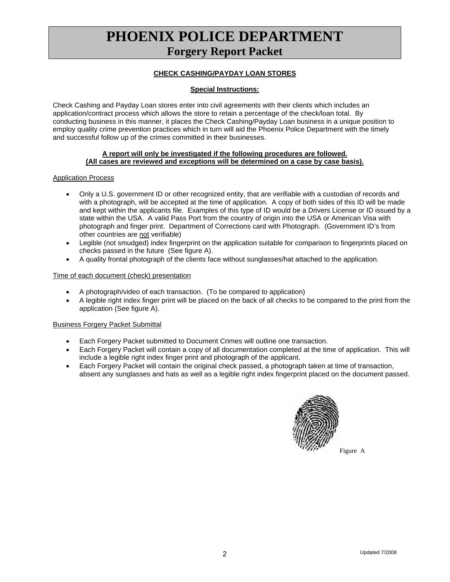### **CHECK CASHING/PAYDAY LOAN STORES**

### **Special Instructions:**

Check Cashing and Payday Loan stores enter into civil agreements with their clients which includes an application/contract process which allows the store to retain a percentage of the check/loan total. By conducting business in this manner, it places the Check Cashing/Payday Loan business in a unique position to employ quality crime prevention practices which in turn will aid the Phoenix Police Department with the timely and successful follow up of the crimes committed in their businesses.

#### **A report will only be investigated if the following procedures are followed. (All cases are reviewed and exceptions will be determined on a case by case basis).**

#### Application Process

- Only a U.S. government ID or other recognized entity, that are verifiable with a custodian of records and with a photograph, will be accepted at the time of application. A copy of both sides of this ID will be made and kept within the applicants file. Examples of this type of ID would be a Drivers License or ID issued by a state within the USA. A valid Pass Port from the country of origin into the USA or American Visa with photograph and finger print. Department of Corrections card with Photograph. (Government ID's from other countries are not verifiable)
- Legible (not smudged) index fingerprint on the application suitable for comparison to fingerprints placed on checks passed in the future (See figure A).
- A quality frontal photograph of the clients face without sunglasses/hat attached to the application.

#### Time of each document (check) presentation

- A photograph/video of each transaction. (To be compared to application)
- A legible right index finger print will be placed on the back of all checks to be compared to the print from the application (See figure A).

#### Business Forgery Packet Submittal

- Each Forgery Packet submitted to Document Crimes will outline one transaction.
- Each Forgery Packet will contain a copy of all documentation completed at the time of application. This will include a legible right index finger print and photograph of the applicant.
- Each Forgery Packet will contain the original check passed, a photograph taken at time of transaction, absent any sunglasses and hats as well as a legible right index fingerprint placed on the document passed.



Figure A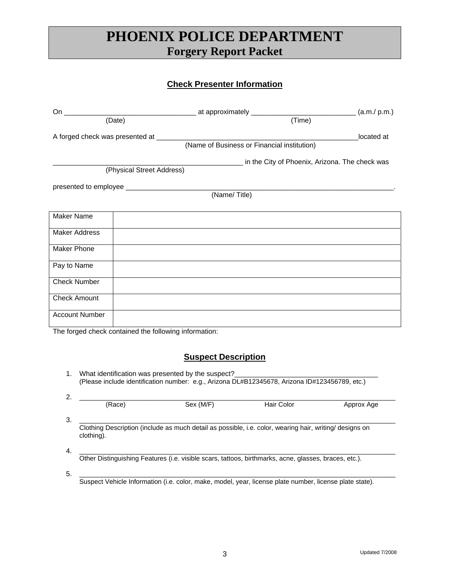## **Check Presenter Information**

| $On$ $\_\$            | (Date)                    | (Time)                                         |            |
|-----------------------|---------------------------|------------------------------------------------|------------|
|                       |                           | (Name of Business or Financial institution)    | located at |
|                       | (Physical Street Address) | in the City of Phoenix, Arizona. The check was |            |
| (Name/Title)          |                           |                                                |            |
| <b>Maker Name</b>     |                           |                                                |            |
| <b>Maker Address</b>  |                           |                                                |            |
| <b>Maker Phone</b>    |                           |                                                |            |
| Pay to Name           |                           |                                                |            |
| <b>Check Number</b>   |                           |                                                |            |
| <b>Check Amount</b>   |                           |                                                |            |
| <b>Account Number</b> |                           |                                                |            |

The forged check contained the following information:

## **Suspect Description**

| 1. | What identification was presented by the suspect?<br>(Please include identification number: e.g., Arizona DL#B12345678, Arizona ID#123456789, etc.) |                                                                                                         |            |            |  |  |  |
|----|-----------------------------------------------------------------------------------------------------------------------------------------------------|---------------------------------------------------------------------------------------------------------|------------|------------|--|--|--|
| 2. | (Race)                                                                                                                                              | Sex (M/F)                                                                                               | Hair Color | Approx Age |  |  |  |
| 3. | Clothing Description (include as much detail as possible, i.e. color, wearing hair, writing/ designs on<br>clothing).                               |                                                                                                         |            |            |  |  |  |
| 4. | Other Distinguishing Features (i.e. visible scars, tattoos, birthmarks, acne, glasses, braces, etc.).                                               |                                                                                                         |            |            |  |  |  |
| 5. |                                                                                                                                                     | Suspect Vehicle Information (i.e. color, make, model, year, license plate number, license plate state). |            |            |  |  |  |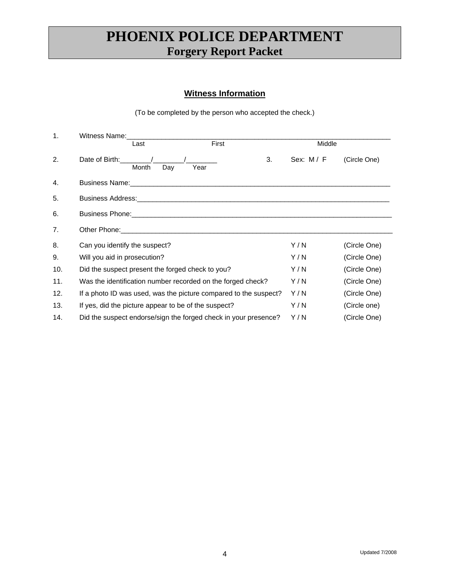### **Witness Information**

(To be completed by the person who accepted the check.)

| 1.  | Witness Name:                                                                                                   |              |              |  |  |  |
|-----|-----------------------------------------------------------------------------------------------------------------|--------------|--------------|--|--|--|
|     | First<br>Last                                                                                                   | Middle       |              |  |  |  |
| 2.  | 3.<br>Date of Birth: 1997<br>Month<br>Day<br>Year                                                               | Sex: $M / F$ | (Circle One) |  |  |  |
| 4.  | Business Name: The Contract of the Contract of the Contract of the Contract of the Contract of the Contract of  |              |              |  |  |  |
| 5.  |                                                                                                                 |              |              |  |  |  |
| 6.  |                                                                                                                 |              |              |  |  |  |
| 7.  | Other Phone: And the state of the state of the state of the state of the state of the state of the state of the |              |              |  |  |  |
| 8.  | Can you identify the suspect?                                                                                   | Y/N          | (Circle One) |  |  |  |
| 9.  | Will you aid in prosecution?                                                                                    | Y/N          | (Circle One) |  |  |  |
| 10. | Did the suspect present the forged check to you?                                                                | Y/N          | (Circle One) |  |  |  |
| 11. | Was the identification number recorded on the forged check?                                                     | Y / N        | (Circle One) |  |  |  |
| 12. | If a photo ID was used, was the picture compared to the suspect?                                                | Y/N          | (Circle One) |  |  |  |
| 13. | If yes, did the picture appear to be of the suspect?                                                            | Y / N        | (Circle one) |  |  |  |
| 14. | Did the suspect endorse/sign the forged check in your presence?                                                 | Y/N          | (Circle One) |  |  |  |